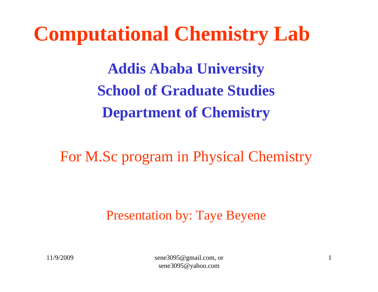# **Computational Chemistry Lab**

**Addis Ababa University School of Graduate Studies Department of Chemistry**

For M.Sc program in Physical Chemistry

Presentation by: Taye Beyene

11/9/2009 sene3095@gmail.com, or sene3095@yahoo.com

1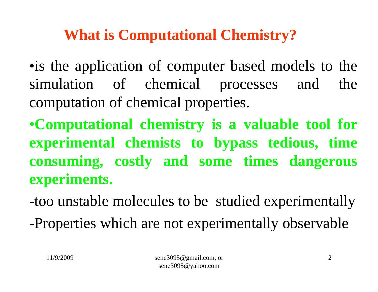# **What is Computational Chemistry?**

•is the application of computer based models to the simulation of chemical processes and the computation of chemical properties.

•**Computational chemistr y is a valuable tool for experimental chemists to b ypass tedious, time consumin g, costl y and some times dan gerous experiments.**

-too unstable molecules to be studied experimentally

-Properties which are not experimentally observable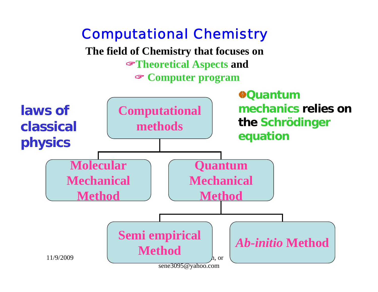# Computational Chemistry

**The field of Chemistry that focuses on**  "**Theoretical Aspects and** " **Computer program**

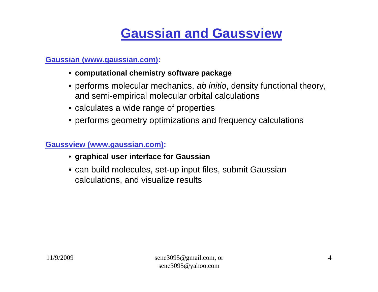# **Gaussian and Gaussview**

#### **Gaussian (w w w.gaussian.co m):**

- **computational chemist ry sof t ware package**
- performs molecular mechanics, *ab initio*, density functional theory, and semi-empirical molecular orbital calculations
- calculates a wide range of properties
- performs geometry optimizations and frequency calculations

#### **Gaussview (w w w.gaussian.co m):**

- **graphical user interface for Gaussian**
- can build molecules, set-up input files, submit Gaussian calculations, and visualize results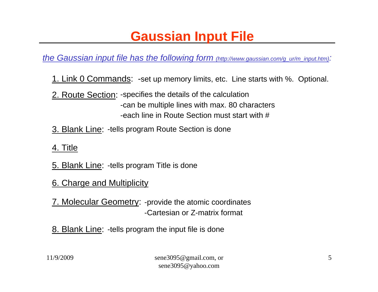# **Gaussian Input File**

*the Gaussian input file has the following form (http://www.gaussian.com/g\_ur/m\_input.htm):*

- 1. Link 0 Commands: -set up memory limits, etc. Line starts with %. Optional.
- 2. Route Section: -specifies the details of the calculation -can be multiple lines with max. 80 characters -each line in Route Section must start with #
- 3. Blank Line: -tells program Route Section is done
- 4. Title
- 5. Blank Line: -tells program Title is done
- 6. Charge and Multiplicity
- 7. Molecular Geometry: -provide the atomic coordinates -Cartesian or Z-matrix format
- 8. Blank Line: tells program the input file is done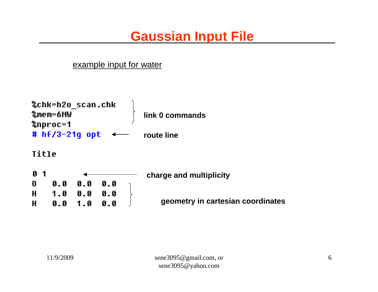### **Gaussian Input File**

#### example input for water

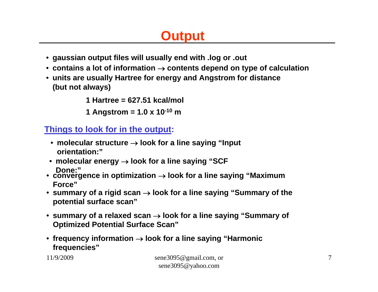# **Output**

- **gaussian output files will usually end with .log or .out**
- **contains a lot of information**  → **contents depend on type of calculation**
- **units are usually Hartree for energy and Angstrom for distance (but not always)**

**1 Hartree= 627.51 kcal/mol**

**1 Angst rom = 1.0 x 10-<sup>10</sup> m**

#### **Things to look for in the output:**

- **molecular structure**  → **look for a line saying "Input orientation:"**
- **molecular energy**  → **look for a line saying "SCF Done:"**
- convergence in optimization → look for a line saying "Maximum **Force"**
- **summary of a rigid scan**  → **look for a line saying "Summary of the potential surface scan"**
- summary of a relaxed scan → look for a line saying "Summary of **Optimized Potential Surface Scan"**
- frequency information → look for a line saying "Harmonic **frequencies"**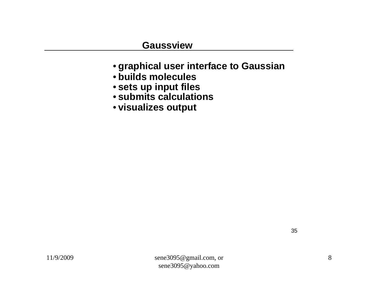#### **Gaussview**

- **g raphical u ser in t erface to G a u ssian**
- **builds molecules**
- **s ets up i nput file s**
- **submits calculations**
- **visualizes outpu t**

35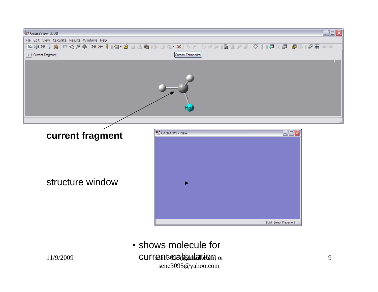

11/9/2009 **current coalculation** or sene3095@yahoo.com • shows molecule for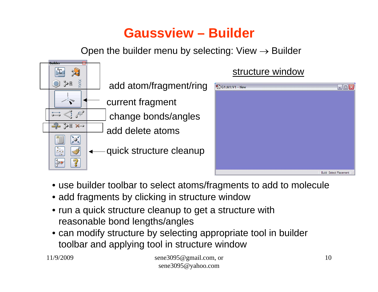### **Gaussview–Builder**

Open the builder menu by selecting: View  $\rightarrow$  Builder



#### structure window



- use builder toolbar to select atoms/fragments to add to molecule
- add fragments by clicking in structure window
- run a quick structure cleanup to get a structure with reasonable bond lengths/angles
- can modify structure by selecting appropriate tool in builder toolbar and applying tool in structure window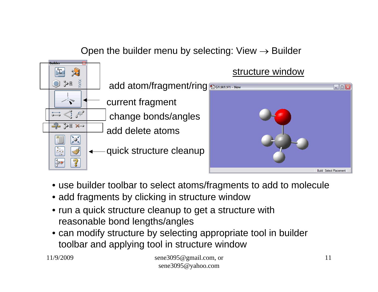#### Open the builder menu by selecting: View  $\rightarrow$  Builder



- use builder toolbar to select atoms/fragments to add to molecule
- add fragments by clicking in structure window
- run a quick structure cleanup to get a structure with reasonable bond lengths/angles
- can modify structure by selecting appropriate tool in builder toolbar and applying tool in structure window

11/9/2009 sene3095@gmail.com, or sene3095@yahoo.com

 $\Box$ o $\times$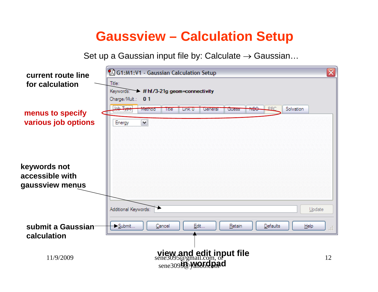#### **Gaussview – Calculation Setup**

Set up a Gaussian input file by: Calculate  $\rightarrow$  Gaussian…

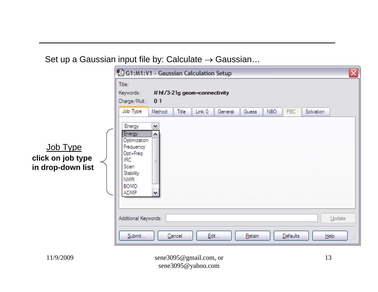Set up a Gaussian input file by: Calculate  $\rightarrow$  Gaussian…

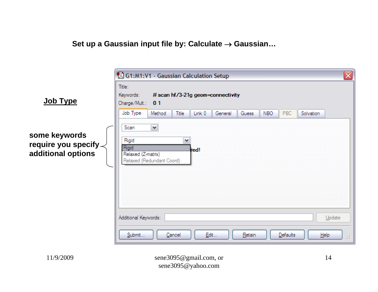**Set up a Gaussian input file by: Calculate**  → **Gaussian…**

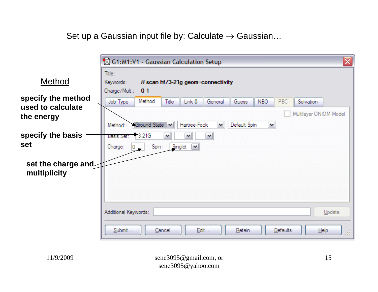Set up a Gaussian input file by: Calculate  $\rightarrow$  Gaussian…

|                                                       | 冈<br>61:M1:V1 - Gaussian Calculation Setup                                                                                                                                                                        |
|-------------------------------------------------------|-------------------------------------------------------------------------------------------------------------------------------------------------------------------------------------------------------------------|
| Method                                                | Title:<br>Keywords:<br># scan hf/3-21g geom=connectivity<br>Charge/Mult.: 01                                                                                                                                      |
| specify the method<br>used to calculate<br>the energy | Method<br>Title<br>Link 0<br>NBO.<br>PBC.<br>General<br><b>Guess</b><br>Solvation<br>Job Type<br>Multilayer ONIOM Model<br>Ground State V<br>Default Spin<br>Hartree-Fock<br>$\blacktriangledown$<br>Method:<br>٧ |
| specify the basis<br><b>set</b>                       | 13-21G<br>$\checkmark$<br>v<br>Basis Set:<br>v<br>Singlet<br>Spin:<br>$\checkmark$<br>Charge:<br>$\mathbf{0}_{\infty}$                                                                                            |
| set the charge and<br>multiplicity                    |                                                                                                                                                                                                                   |
|                                                       | Additional Keywords:<br>Update                                                                                                                                                                                    |
|                                                       | Submit<br>Cancel<br>Edit<br>Retain<br>Defaults<br>$He$ <sub>lp</sub><br>ú.                                                                                                                                        |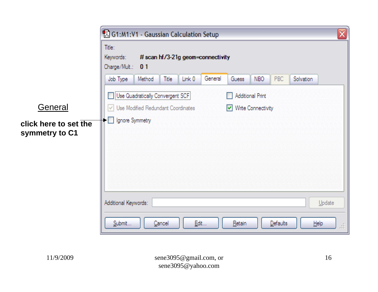|                                         | ⊠<br>G1:M1:V1 - Gaussian Calculation Setup                                                                                                   |  |  |  |  |  |  |  |  |  |
|-----------------------------------------|----------------------------------------------------------------------------------------------------------------------------------------------|--|--|--|--|--|--|--|--|--|
|                                         | Title:<br>Keywords:<br># scan hf/3-21g geom=connectivity<br>Charge/Mult.: 01                                                                 |  |  |  |  |  |  |  |  |  |
|                                         | General<br>PBC<br>Title<br>NBO<br><b>Solvation</b><br>Link 0<br>Guess<br>Job Type<br>Method                                                  |  |  |  |  |  |  |  |  |  |
| General                                 | Use Quadratically Convergent SCF<br><b>Additional Print</b><br>Use Modified Redundant Coordinates<br>$\triangledown$ Write Connectivity<br>M |  |  |  |  |  |  |  |  |  |
| click here to set the<br>symmetry to C1 | $\blacktriangleright$   Ignore Symmetry                                                                                                      |  |  |  |  |  |  |  |  |  |
|                                         | Additional Keywords:<br>Update                                                                                                               |  |  |  |  |  |  |  |  |  |
|                                         | Submit<br><b>Edit</b><br>Retain<br>Cancel<br><b>Defaults</b><br>He<br>á                                                                      |  |  |  |  |  |  |  |  |  |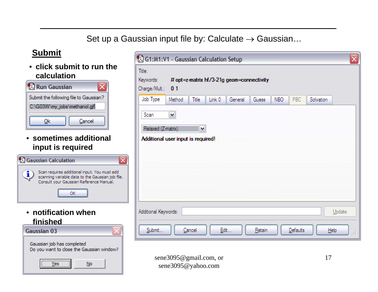#### Set up a Gaussian input file by: Calculate  $\rightarrow$  Gaussian…

#### **Submit**

• **click submit to run the calculation**

| <b>74</b> Run Gaussian                 |
|----------------------------------------|
| Submit the following file to Gaussian? |
| C:\G03W\my_jobs\methanol.gjf           |
| Cancel                                 |

• **sometimes additional input is required**



• **notification when finished**

| Gaussian 03                                                             |  |
|-------------------------------------------------------------------------|--|
| Gaussian job has completed<br>Do you want to close the Gaussian window? |  |
|                                                                         |  |



sene3095@gmail.com, or sene3095@yahoo.com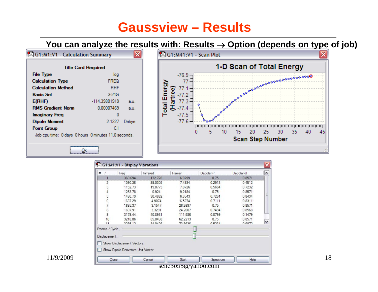### **Gaussview– Results**

⊠

#### **You can analyze the results with: Results**  → **Option (depends on type of job)**

G1:M1:V1 - Calculation Summary

| <b>Title Card Required</b>                           |               |       |  |  |  |  |  |  |
|------------------------------------------------------|---------------|-------|--|--|--|--|--|--|
| <b>File Type</b>                                     | .loa          |       |  |  |  |  |  |  |
| <b>Calculation Type</b>                              | <b>FREQ</b>   |       |  |  |  |  |  |  |
| <b>Calculation Method</b>                            | RHF           |       |  |  |  |  |  |  |
| <b>Basis Set</b>                                     | 3-21G         |       |  |  |  |  |  |  |
| E(RHF)                                               | -114 39801919 | a.u.  |  |  |  |  |  |  |
| <b>RMS Gradient Norm</b>                             | 0.00007469    | a.u.  |  |  |  |  |  |  |
| Imaginary Freg                                       | o             |       |  |  |  |  |  |  |
| <b>Dipole Moment</b>                                 | 2.1227        | Debye |  |  |  |  |  |  |
| <b>Point Group</b>                                   | C1            |       |  |  |  |  |  |  |
| Job cpu time: 0 days 0 hours 0 minutes 11.0 seconds. |               |       |  |  |  |  |  |  |

 $Qk$ 



| #                                | Freq                               | Infrared       | Raman   | Depolar-P    | Depolar-U |  |
|----------------------------------|------------------------------------|----------------|---------|--------------|-----------|--|
|                                  | 360.694                            | 172.728        | 6.0799  | 0.75         | 0.8571    |  |
| 2                                | 1090.36                            | 99.0305        | 7.4934  | 0.2913       | 0.4512    |  |
| 3                                | 1152.73                            | 19.0775        | 7.0726  | 0.5664       | 0.7232    |  |
|                                  | 1253.78                            | 0.924          | 9.2184  | 0.75         | 0.8571    |  |
| 5                                | 1480.79                            | 30.4862        | 6.3543  | 0.7291       | 0.8434    |  |
|                                  | 1637.29                            | 4.9074         | 6.5274  | 0.7111       | 0.8311    |  |
| $\frac{6}{7}$                    | 1685.37                            | 3.1547         | 26,2697 | 0.75         | 0.8571    |  |
| 8                                | 1697.91                            | 3.3291         | 24.2007 | 0.7494       | 0.8568    |  |
| 9                                | 3179.44                            | 40.8931        | 111.586 | 0.0799       | 0.1479    |  |
| 10                               | 3218.86                            | 85.0498        | 62.2213 | 0.75         | 0.8571    |  |
| 11                               | 2295.12                            | <b>24 BA26</b> | 73,9636 | <b>DE234</b> | 0.6872    |  |
| Frames / Cycle:<br>Displacement: |                                    |                |         |              |           |  |
|                                  | Show Displacement Vectors          |                |         |              |           |  |
|                                  | Show Dipole Derivative Unit Vector |                |         |              |           |  |
|                                  | Close                              | Cancel         | Start   | Spectrum     | Help      |  |

11/9/2009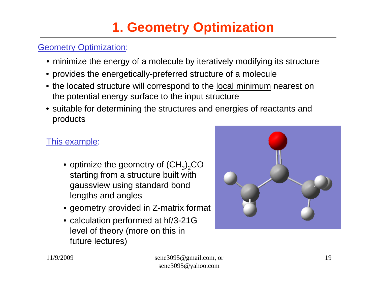# **1. Geometry Optimization**

#### **Geometry Optimization:**

- minimize the energy of a molecule by iteratively modifying its structure
- provides the energetically-preferred structure of a molecule
- the located structure will correspond to the <u>local minimum</u> nearest on the potential energy surface to the input structure
- suitable for determining the structures and energies of reactants and products

#### This example:

- $\bullet$  optimize the geometry of  ${\rm (CH_3)_2CO}$ starting from a structure built with gaussview using standard bond lengths and angles
- geometry provided in Z-matrix format
- calculation performed at hf/3-21G level of theory (more on this in future lectures)

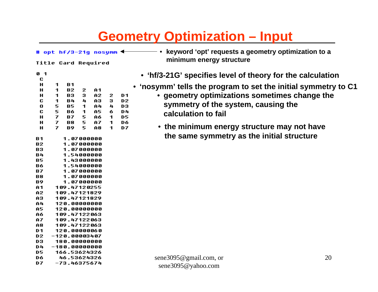# **Geometry Optimization – Input**

# opt hf/3-21g nosumm  $\triangleleft$ 

**Title Card Required** 

| Ø<br>-1 |   |    |   |    |   |    |
|---------|---|----|---|----|---|----|
| C       |   |    |   |    |   |    |
| н       | 1 | B1 |   |    |   |    |
| н       | 1 | В2 | 2 | A1 |   |    |
| н       | 1 | В3 | з | A2 | 2 | D1 |
| C       | 1 | B4 | 4 | A3 | 3 | D2 |
| 0       | 5 | B5 | 1 | A4 | 4 | D3 |
| C       | 5 | Bб | 1 | A5 | 6 | D4 |
| н       | 7 | В7 | 5 | Aб | 1 | D5 |
| н       | 7 | B8 | 5 | A7 | 1 | Dб |
| н       | 7 | В9 | 5 | A8 | 1 | D7 |

1 87888888

| В2. | 1.07000000    |
|-----|---------------|
| В3  | 1.07000000    |
| B4  | 1.54000000    |
| B5  | 1.43000000    |
| Bб  | 1.54000000    |
| В7  | 1.07000000    |
| 88  | 1.07000000    |
| В9  | 1.07000000    |
| A1  | 109.47120255  |
| A2. | 109.47121829  |
| A3  | 109.47121829  |
| A4  | 120.00000000  |
| A5. | 120.00000000  |
| Aб  | 109.47122063  |
| A7  | 109.47122063  |
| A8. | 109.47122063  |
| D1  | 120.00000060  |
| D2. | -120.00003407 |
| D3. | 180.00000000  |
| D4. | –180.00000000 |
| D5. | 166.53624326  |
| D6. | 46.53624326   |
| D7  | -73.46375674  |

 $R<sub>1</sub>$ 

• **ke y word 'opt' requests a geometr y optimization to a minimum energ y structure**

- **'hf/3-21G' specifies level of theory for the calculation**
- **'nosymm' tells the program to set the initial symmet r y to C1**
	- **geometry optimizations sometimes change the symmet ry of the system, causing the calculation to fail**
	- **the minimum energy structure may not have the same symmetry as the initial structure**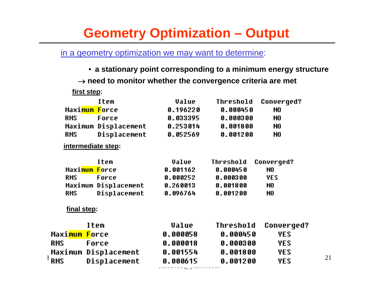# **Geometry Optimization – Output**

in a geometry optimization we may want to determine:

• **a stationary point corresponding to a minimum energy structure** → **need to monitor whether the convergence criteria are met first step: Trem Ualue Threshold Converged?** Maxi<mark>mum F</mark>orce **N.19622N A.AAA45A** N<sub>n</sub> **RMS** 0.033395 Force 0.000300 N<sub>0</sub> Maximum Displacement  $0.253014$ 0.001800 N<sub>0</sub> **RMS** Displacement 0.052569  $0.001200$ N<sub>0</sub> **intermediate step:** Item Value **Threshold Converged?** Maxi<mark>mum F</mark>orce 0.001162 0.000450 NO. **RMS** 0.000252 0.000300 **YES** Force Maximum Displacement  $0.260013$ 0.001800 N0 Displacement **RMS** 0.096764 0.001200 N<sub>0</sub> **final step:Item Value Threshold Converged?** Maxi<mark>mum F</mark>orce 0.000058  $0.000450$ **YES RMS** Force 0.000018 0.000300 **YES** 11/9/2009 sene3095@gmail.com, or 0.001554 0.001800 **YES** 

----------<br>-----*--*--<sub>/</sub>-----------

**YES**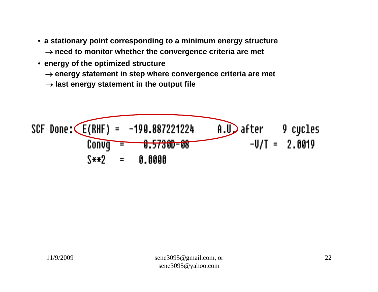- **a stationary point corresponding to a minimum energy structure** → **need to monitor whether the convergence criteria are met**
- **energy of the o ptimized structure**
	- → **energy statement in step w here convergence criteria are met**
	- $\rightarrow$  last energy statement in the output file

SCF Done: 
$$
\overline{E(RHF)} = -190.887221224
$$

\n0.10 after 9 cycles

\n0.0019 = 0.57300-08

\n0.0019 = 0.0000

\n0.0000 = 0.0000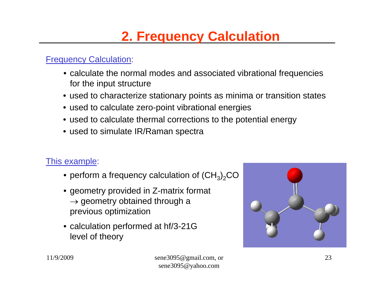# **2. Frequency Calculation**

#### **Frequency Calculation:**

- calculate the normal modes and associated vibrational frequencies for the input structure
- used to characterize stationary points as minima or transition states
- used to calculate zero-point vibrational energies
- used to calculate thermal corrections to the potential energy
- used to simulate IR/Raman spectra

#### This example:

- $\bullet$  perform a frequency calculation of  ${\rm (CH_3)_2CO}$
- geometry provided in Z-matrix format  $\rightarrow$  geometry obtained through a previous optimization
- calculation performed at hf/3-21G level of theory

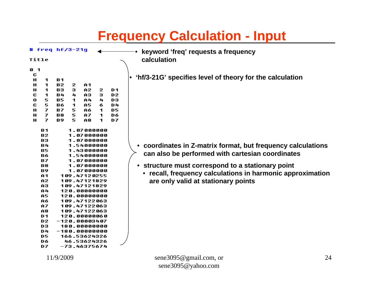# **Frequency Calculation - Input**

|        |                | $#$ freq hf/3-21q |         |                 |         |                | keyword 'freq' requests a frequency                        |
|--------|----------------|-------------------|---------|-----------------|---------|----------------|------------------------------------------------------------|
| Title  |                |                   |         |                 |         |                | calculation                                                |
|        |                |                   |         |                 |         |                |                                                            |
| 01     |                |                   |         |                 |         |                |                                                            |
| C      |                |                   |         |                 |         |                | • 'hf/3-21G' specifies level of theory for the calculation |
| н      | 1              | B1                |         |                 |         |                |                                                            |
| н      | 1              | В2                | 2       | A1              |         |                |                                                            |
| н      | 1              | В3                | з       | A2              | 2       | D <sub>1</sub> |                                                            |
| c      | 1              | <b>B4</b>         | 4       | AЗ              | з       | D <sub>2</sub> |                                                            |
| 0      | 5              | <b>B5</b>         | 1.      | A4              | 4       | DЗ             |                                                            |
| C      | 5              | Bб                | 1.      | A5              | 6.      | D4             |                                                            |
| н      | 7<br>7         | <b>B7</b>         | 5       | Aб              | 1.      | D5             |                                                            |
| н<br>н | 7              | B8<br>B9          | 5<br>5. | A7<br>A8        | 1.<br>1 | D6<br>D7       |                                                            |
|        |                |                   |         |                 |         |                |                                                            |
|        | B1             |                   |         | 1.07000000      |         |                |                                                            |
|        | <b>B2</b>      |                   |         | 1.07000000      |         |                |                                                            |
|        | <b>B3</b>      |                   |         | 1.07000000      |         |                |                                                            |
|        | B4             |                   |         | 1.54000000      |         |                | coordinates in Z-matrix format, but frequency calculations |
|        | <b>B5</b>      |                   |         | 1.43000000      |         |                |                                                            |
|        | Bб             |                   |         | 1.54000000      |         |                | can also be performed with cartesian coordinates           |
|        | <b>B7</b>      |                   |         | 1.07000000      |         |                |                                                            |
|        | B8             |                   |         | 1.07000000      |         |                | • structure must correspond to a stationary point          |
|        | B9             |                   |         | 1.07000000      |         |                |                                                            |
|        | A1             |                   |         | 109.47120255    |         |                | • recall, frequency calculations in harmonic approximation |
|        | A2             |                   |         | 109.47121829    |         |                | are only valid at stationary points                        |
|        | A3             |                   |         | 109.47121829    |         |                |                                                            |
|        | A4             |                   |         | 120.00000000    |         |                |                                                            |
|        | A5             |                   |         | 120.00000000    |         |                |                                                            |
|        | Aб             |                   |         | 109.47122063    |         |                |                                                            |
|        | A7             |                   |         | 109.47122063    |         |                |                                                            |
|        | A8             |                   |         | 109.47122063    |         |                |                                                            |
|        | D1             |                   |         | 120.00000060    |         |                |                                                            |
|        | D <sub>2</sub> |                   |         | $-120.00003407$ |         |                |                                                            |
|        | D <sub>3</sub> |                   |         | 180.00000000    |         |                |                                                            |
|        | D4             |                   |         | $-180.0000000$  |         |                |                                                            |
|        | <b>D5</b>      |                   |         | 166.53624326    |         |                |                                                            |
|        | D6             |                   |         | 46.53624326     |         |                |                                                            |
|        | D7.            |                   |         | -73.46375674    |         |                |                                                            |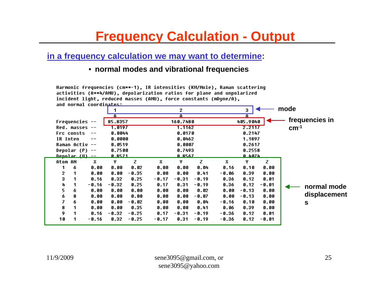### **Frequency Calculation - Output**

#### **in a frequency calculation we may want to determine:**

#### • **normal modes and vibrational frequencies**

Harmonic frequencies (cm\*\*-1), IR intensities (KM/Mole), Raman scattering activities (A\*\*4/AMU), depolarization ratios for plane and unpolarized incident light. reduced masses (AMU). force constants (mDune/A). and normal coordinator.

|          |                        | and normal cooraln <del>ation</del> |                |         |         |                |         |       |               |         |        |                |
|----------|------------------------|-------------------------------------|----------------|---------|---------|----------------|---------|-------|---------------|---------|--------|----------------|
|          |                        |                                     |                |         |         | 2              |         |       | з             |         | mode   |                |
|          |                        |                                     |                |         |         | Ĥ              |         |       |               |         |        |                |
|          | <b>Frequencies --</b>  |                                     | 85.8357        |         |         | 160.7480       |         |       | 405.9040      |         |        | frequencies in |
|          | $Red.$ masses $--$     |                                     | 1.0197         |         |         | 1.1162         |         |       | 2.2117        |         | $cm-1$ |                |
|          | Frc consts             | $\qquad \qquad -$                   | 0.0044         |         |         | 0.0170         |         |       | 0.2147        |         |        |                |
| IR Inten |                        |                                     | 0.0000         |         |         | 0.0462         |         |       | 1.1897        |         |        |                |
|          | Raman Activ --         |                                     | 0.0519         |         |         | 0.0007         |         |       | 0.2617        |         |        |                |
|          | Depolar $(P)$ --       |                                     | 0.7500         |         |         | 0.7493         |         |       | 0.2558        |         |        |                |
|          | <u> Denolar (U) --</u> |                                     | <u>n. 8571</u> |         |         | <u>N. 8567</u> |         |       | <u>N.4074</u> |         |        |                |
| Atom AN  |                        | x                                   | Y.             | z       | x       | Υ              | z       | x     | Υ             | z       |        |                |
| 1        | 6                      | 0.00                                | 0.00           | 0.02    | 0.00    | 0.00           | 0.04    | 0.16  | 0.10          | 0.00    |        |                |
| 2        |                        | 0.00                                | 0.00           | $-0.35$ | 0.00    | 0.00           | 0.41    | -0.06 | 0.39          | 0.00    |        |                |
| 3        |                        | 0.16                                | 0.32           | 0.25    | $-0.17$ | $-0.31$        | $-0.19$ | 0.36  | 0.12          | 0.01    |        |                |
| 4        |                        | $-0.16$                             | $-0.32$        | 0.25    | 0.17    | 0.31           | $-0.19$ | 0.36  | 0.12          | $-0.01$ |        | normal mode    |
| 5        | 6                      | 0.00                                | 0.00           | 0.00    | 0.00    | 0.00           | 0.02    | 0.00  | $-0.13$       | 0.00    |        |                |
| 6        | 8                      | 0.00                                | 0.00           | 0.00    | 0.00    | 0.00           | $-0.07$ | 0.00  | $-0.13$       | 0.00    |        | displacement   |
| 7        | 6                      | 0.00                                | 0.00           | $-0.02$ | 0.00    | 0.00           | 0.04    | -0.16 | 0.10          | 0.00    |        | $\mathbf s$    |
| 8        |                        | 0.00                                | 0.00           | 0.35    | 0.00    | 0.00           | 0.41    | 0.06  | 0.39          | 0.00    |        |                |
| 9        |                        | 0.16                                | $-0.32$        | $-0.25$ | 0.17    | $-0.31$        | $-0.19$ | -0.36 | 0.12          | 0.01    |        |                |
| 10       |                        | $-0.16$                             | 0.32           | $-0.25$ | $-0.17$ | 0.31           | $-0.19$ | -0.36 | 0.12          | $-0.01$ |        |                |
|          |                        |                                     |                |         |         |                |         |       |               |         |        |                |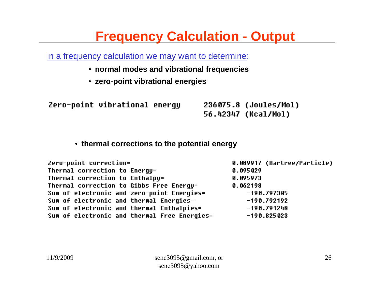# **Frequency Calculation - Output**

in a frequency calculation we may want to determine:

- **normal modes and vibrational frequencies**
- **zero-point vibrational energies**

Zero-point vibrational energy

236075.8 (Joules/Mol) 56.42347 (Kcal/Mol)

#### • **thermal corrections to the potential energy**

Zero-point correction= 0.089917 (Hartree/Particle) Thermal correction to Enerqu= 0.095029 Thermal correction to Enthalpy= 0.095973 Thermal correction to Gibbs Free Enerqy= 0.062198 Sum of electronic and zero-point Energies=  $-190.797305$ Sum of electronic and thermal Energies=  $-190.792192$ Sum of electronic and thermal Enthalpies=  $-190.791248$ Sum of electronic and thermal Free Energies=  $-190.825023$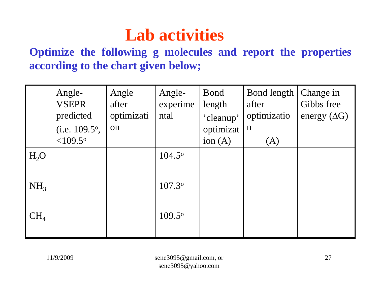# **Lab activities**

**Optimize the following g molecules and report the properties according to the chart given below;**

|                 | Angle-<br><b>VSEPR</b><br>predicted<br>(i.e. $109.5^{\circ}$ ,<br>$< 109.5$ <sup>o</sup> | Angle<br>after<br>optimizati<br>on | Angle-<br>experime<br>ntal | Bond<br>length<br>'cleanup'<br>optimizat<br>ion $(A)$ | Bond length<br>after<br>optimizatio<br>$\mathbf n$<br>(A) | Change in<br>Gibbs free<br>energy $(\Delta G)$ |
|-----------------|------------------------------------------------------------------------------------------|------------------------------------|----------------------------|-------------------------------------------------------|-----------------------------------------------------------|------------------------------------------------|
| $H_2O$          |                                                                                          |                                    | $104.5^{\circ}$            |                                                       |                                                           |                                                |
| NH <sub>3</sub> |                                                                                          |                                    | 107.3°                     |                                                       |                                                           |                                                |
| $CH_4$          |                                                                                          |                                    | $109.5^{\circ}$            |                                                       |                                                           |                                                |